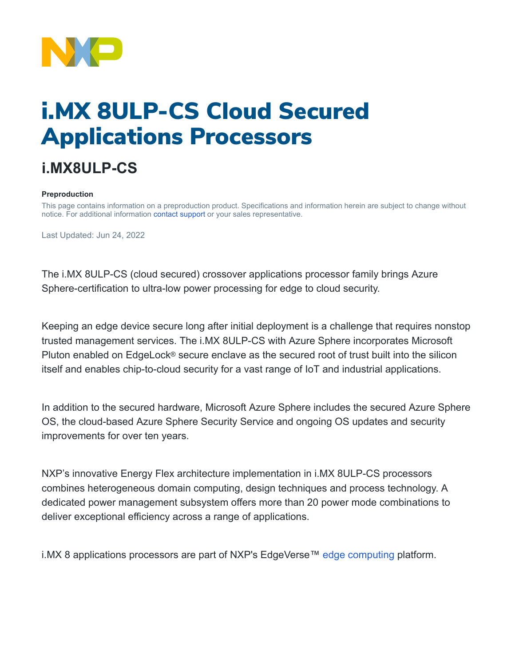

# i.MX 8ULP-CS Cloud Secured Applications Processors

## **i.MX8ULP-CS**

#### **Preproduction**

This page contains information on a preproduction product. Specifications and information herein are subject to change without notice. For additional information [contact support](https://www.nxp.com/support/support:SUPPORTHOME) or your sales representative.

Last Updated: Jun 24, 2022

The i.MX 8ULP-CS (cloud secured) crossover applications processor family brings Azure Sphere-certification to ultra-low power processing for edge to cloud security.

Keeping an edge device secure long after initial deployment is a challenge that requires nonstop trusted management services. The i.MX 8ULP-CS with Azure Sphere incorporates Microsoft Pluton enabled on EdgeLock® secure enclave as the secured root of trust built into the silicon itself and enables chip-to-cloud security for a vast range of IoT and industrial applications.

In addition to the secured hardware, Microsoft Azure Sphere includes the secured Azure Sphere OS, the cloud-based Azure Sphere Security Service and ongoing OS updates and security improvements for over ten years.

NXP's innovative Energy Flex architecture implementation in i.MX 8ULP-CS processors combines heterogeneous domain computing, design techniques and process technology. A dedicated power management subsystem offers more than 20 power mode combinations to deliver exceptional efficiency across a range of applications.

i.MX 8 applications processors are part of NXP's EdgeVerse™ [edge computing](https://www.nxp.com/applications/enabling-technologies/edge-computing:EDGE-COMPUTING) platform.